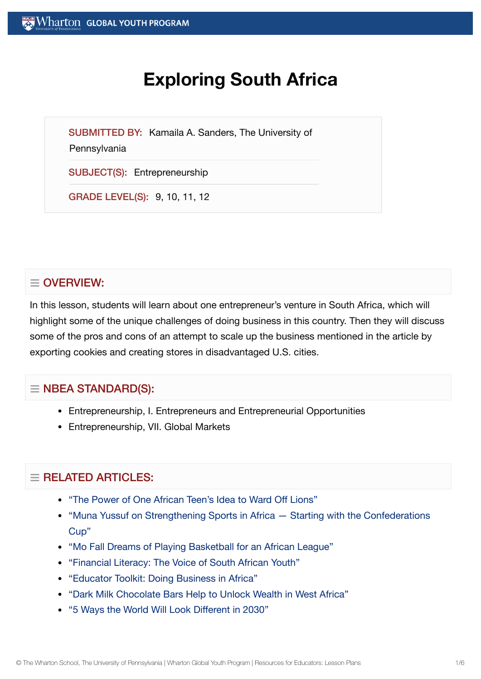# **Exploring South Africa**

SUBMITTED BY: Kamaila A. Sanders, The University of

**Pennsylvania** 

SUBJECT(S): Entrepreneurship

GRADE LEVEL(S): 9, 10, 11, 12

## $\equiv$  OVERVIEW:

In this lesson, students will learn about one entrepreneur's venture in South Africa, which will highlight some of the unique challenges of doing business in this country. Then they will discuss some of the pros and cons of an attempt to scale up the business mentioned in the article by exporting cookies and creating stores in disadvantaged U.S. cities.

## $\equiv$  NBEA STANDARD(S):

- Entrepreneurship, I. Entrepreneurs and Entrepreneurial Opportunities
- Entrepreneurship, VII. Global Markets

## $=$  RELATED ARTICLES:

- "The Power of One African [Teen's Idea](https://globalyouth.wharton.upenn.edu/articles/the-power-of-ideas-thinkers-doers-and-roaring-innovation/) to Ward Off Lions"
- "Muna Yussuf on Strengthening Sports in Africa Starting with the [Confederations](https://globalyouth.wharton.upenn.edu/articles/muna-yussuf-on-strengthening-sports-in-africa-starting-with-the-confederations-cup/) Cup"
- "Mo Fall Dreams of Playing [Basketball](https://globalyouth.wharton.upenn.edu/articles/mo-fall-dreams-of-playing-basketball-for-an-african-league/) for an African League"
- ["Financial](https://globalyouth.wharton.upenn.edu/articles/financial-literacy-the-voice-of-south-african-youth/) Literacy: The Voice of South African Youth"
- "Educator Toolkit: Doing [Business in](https://globalyouth.wharton.upenn.edu/articles/educator-toolkit-business-africa/) Africa"
- "Dark Milk [Chocolate](https://globalyouth.wharton.upenn.edu/articles/dark-milk-chocolate-bars-help-to-unlock-wealth-in-west-africa/) Bars Help to Unlock Wealth in West Africa"
- "5 [Ways the](https://globalyouth.wharton.upenn.edu/articles/will-world-look-different-2030/) World Will Look Different in 2030"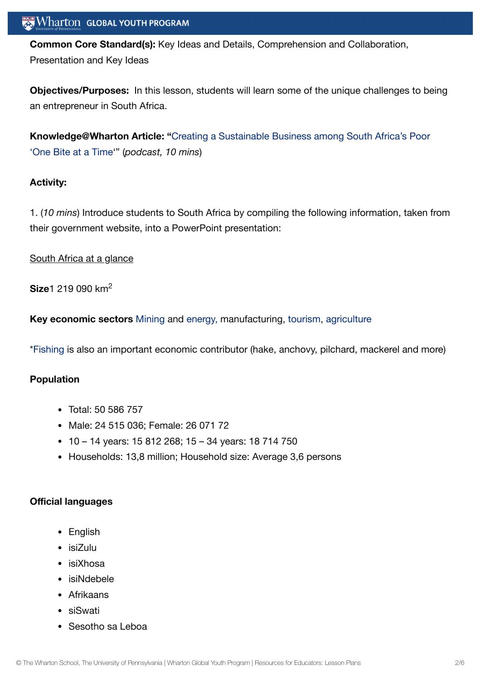## $\mathbf{W}$  Wharton Global youth program

**Common Core Standard(s):** Key Ideas and Details, Comprehension and Collaboration, Presentation and Key Ideas

**Objectives/Purposes:** In this lesson, students will learn some of the unique challenges to being an entrepreneur in South Africa.

**[Knowledge@Wharton](http://knowledge.wharton.upenn.edu/article/creating-a-sustainable-business-among-south-africas-poor-one-bite-at-a-time-2/) Article: "**Creating a Sustainable Business among South Africa's Poor 'One Bite at a Time'" (*podcast, 10 mins*)

#### **Activity:**

1. (*10 mins*) Introduce students to South Africa by compiling the following information, taken from their government website, into a PowerPoint presentation:

#### South Africa at a glance

**Size**1 219 090 km 2

**Key economic sectors** [Mining](https://www.encyclopedia.com/places/africa/south-african-political-geography/south-africa#MINING) and [energy,](https://www.encyclopedia.com/places/africa/south-african-political-geography/south-africa#ENERGY_AND_POWER) manufacturing, [tourism,](https://www.encyclopedia.com/places/africa/south-african-political-geography/south-africa#TOURISM_TRAVEL_AND_RECREATION) [agriculture](https://www.encyclopedia.com/places/africa/south-african-political-geography/south-africa#AGRICULTURE)

\*[Fishing](https://www.encyclopedia.com/places/africa/south-african-political-geography/south-africa#FISHING) is also an important economic contributor (hake, anchovy, pilchard, mackerel and more)

#### **Population**

- Total: 50 586 757
- Male: 24 515 036: Female: 26 071 72
- 1
0 14 years: 15 812 268
; 15 34 years: 18 714 750
- Households: 13.8 million: Household size: Average 3.6 persons

#### **Official languages**

- English
- isiZulu
- isiXhosa
- isiNdebele
- Afrikaans
- siSwati
- Sesotho sa Leboa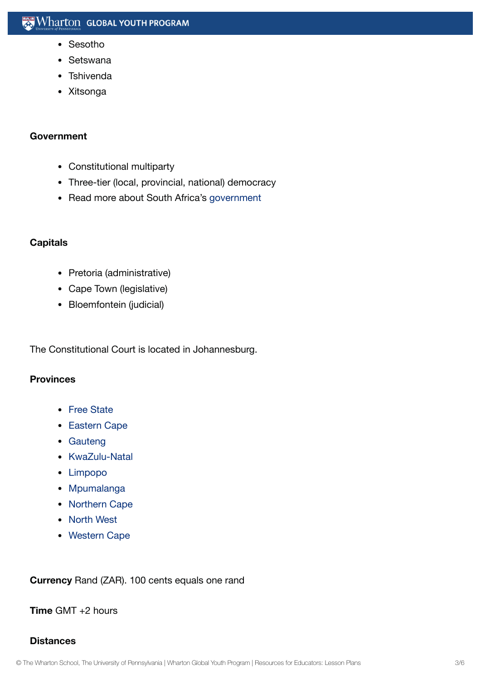- Sesotho
- Setswana
- Tshivenda
- Xitsonga

#### **Government**

- Constitutional multiparty
- Three-tier (local, provincial, national) democracy
- Read more about South Africa's [government](https://www.encyclopedia.com/places/africa/south-african-political-geography/south-africa#GOVERNMENT)

#### **Capitals**

- Pretoria (administrative)
- Cape Town (legislative)
- Bloemfontein (judicial)

The Constitutional Court is located in Johannesburg.

#### **Provinces**

- Free [State](https://en.wikipedia.org/wiki/Free_State_(province))
- [Eastern](https://en.wikipedia.org/wiki/Eastern_Cape) Cape
- [Gauteng](https://en.wikipedia.org/wiki/Gauteng)
- [KwaZulu-Natal](https://en.wikipedia.org/wiki/KwaZulu-Natal)
- [Limpopo](https://en.wikipedia.org/wiki/Limpopo)
- [Mpumalanga](https://en.wikipedia.org/wiki/Mpumalanga)
- [Northern](https://en.wikipedia.org/wiki/Northern_Cape) Cape
- [North](https://en.wikipedia.org/wiki/North_West_(South_African_province)) West
- [Western](https://en.wikipedia.org/wiki/Western_Cape) Cape

**Currency** Rand (ZAR). 100 cents equals one rand

#### **Time** GMT +2 hours

#### **Distances**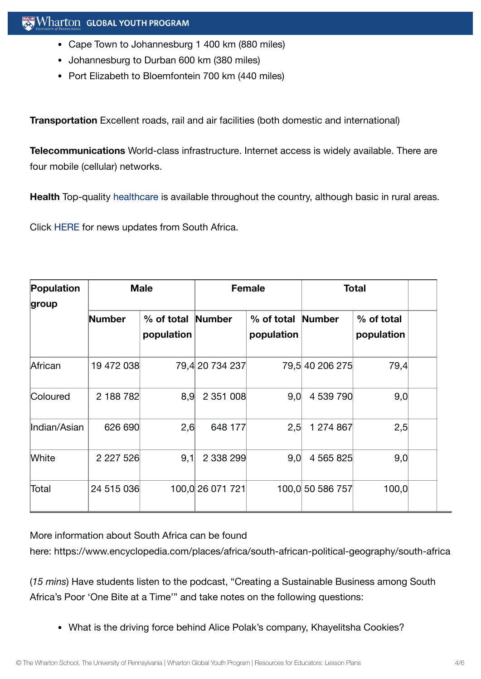- Cape Town to Johannesburg 1 400 km (880 miles)
- Johannesburg to Durban 600 km (380 miles)
- Port Elizabeth to Bloemfontein 700 km (440 miles)

**Transportation** Excellent roads, rail and air facilities (both domestic and international)

**Telecommunications** World-class infrastructure. Internet access is widely available. There are four mobile (cellular) networks.

**Health** Top-quality [healthcare](https://www.encyclopedia.com/places/africa/south-african-political-geography/south-africa#HEALTH) is available throughout the country, although basic in rural areas.

Click [HERE](https://www.brandsouthafrica.com/) for news updates from South Africa.

| Population   | <b>Male</b>   |                          | <b>Female</b>    |                                 | <b>Total</b>     |                          |  |
|--------------|---------------|--------------------------|------------------|---------------------------------|------------------|--------------------------|--|
| group        | <b>Number</b> | % of total<br>population | Number           | % of total Number<br>population |                  | % of total<br>population |  |
| African      | 19 472 038    |                          | 79,4 20 734 237  |                                 | 79,5 40 206 275  | 79,4                     |  |
| Coloured     | 2 188 782     | 8,9                      | 2 351 008        | 9,0                             | 4 539 790        | 9,0                      |  |
| Indian/Asian | 626 690       | 2,6                      | 648 177          | 2,5                             | 1 274 867        | 2,5                      |  |
| <b>White</b> | 2 2 2 7 5 2 6 | 9,1                      | 2 338 299        | 9,0                             | 4 565 825        | 9,0                      |  |
| Total        | 24 515 036    |                          | 100,0 26 071 721 |                                 | 100,0 50 586 757 | 100,0                    |  |

More information about South Africa can be found

here: https://www.encyclopedia.com/places/africa/south-african-political-geography/south-africa

(*15 mins*) Have students listen to the podcast, "Creating a Sustainable Business among South Africa's Poor 'One Bite at a Time'" and take notes on the following questions:

What is the driving force behind Alice Polak's company, Khayelitsha Cookies?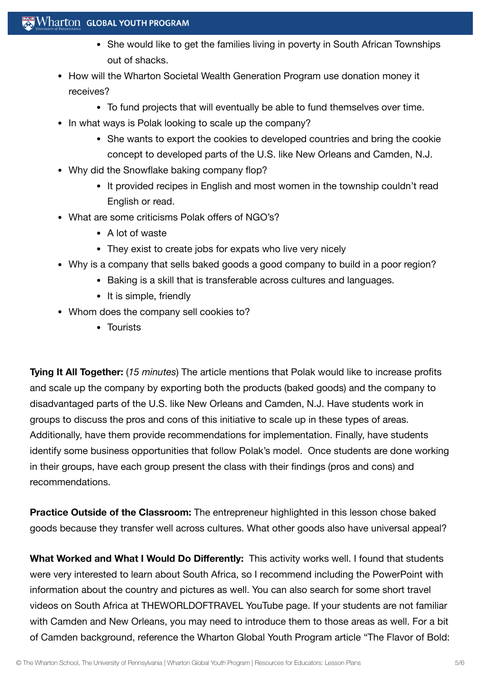### $\mathbb{R}$  Wharton Global Youth Program

- She would like to get the families living in poverty in South African Townships out of shacks.
- How will the Wharton Societal Wealth Generation Program use donation money it receives?
	- To fund projects that will eventually be able to fund themselves over time.
- In what ways is Polak looking to scale up the company?
	- She wants to export the cookies to developed countries and bring the cookie concept to developed parts of the U.S. like New Orleans and Camden, N.J.
- Why did the Snowflake baking company flop?
	- It provided recipes in English and most women in the township couldn't read English or read.
- What are some criticisms Polak offers of NGO's?
	- A lot of waste
	- They exist to create jobs for expats who live very nicely
- Why is a company that sells baked goods a good company to build in a poor region?
	- Baking is a skill that is transferable across cultures and languages.
	- It is simple, friendly
- Whom does the company sell cookies to?
	- Tourists

**Tying It All Together:** (*15 minutes*) The article mentions that Polak would like to increase profits and scale up the company by exporting both the products (baked goods) and the company to disadvantaged parts of the U.S. like New Orleans and Camden, N.J. Have students work in groups to discuss the pros and cons of this initiative to scale up in these types of areas. Additionally, have them provide recommendations for implementation. Finally, have students identify some business opportunities that follow Polak's model. Once students are done working in their groups, have each group present the class with their findings (pros and cons) and recommendations.

**Practice Outside of the Classroom:** The entrepreneur highlighted in this lesson chose baked goods because they transfer well across cultures. What other goods also have universal appeal?

**What Worked and What I Would Do Differently:** This activity works well. I found that students were very interested to learn about South Africa, so I recommend including the PowerPoint with information about the country and pictures as well. You can also search for some short travel videos on South Africa at THEWORLDOFTRAVEL YouTube page. If your students are not familiar with Camden and New Orleans, you may need to introduce them to those areas as well. For a bit of Camden background, reference the Wharton Global Youth Program article "The Flavor of Bold: